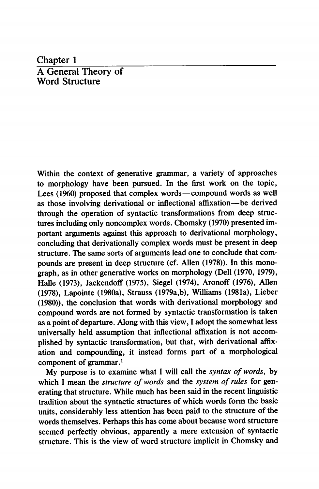# Chapter 1 A General Theory of Word Structure

Within the context of generative grammar, a variety of approaches to morphology have been pursued. In the first work on the topic, Lees (1960) proposed that complex words—compound words as well as those involving derivational or inflectional affixation—be derived through the operation of syntactic transformations from deep structures including only noncomplex words. Chomsky (1970) presented important arguments against this approach to derivational morphology. concluding that derivationally complex words must be present in deep structure. The same sorts of arguments lead one to conclude that compounds are present in deep structure (cf. Allen (1978)). In this monograph, as in other generative works on morphology (Dell (1970, 1979), Halle ( 1973), Jackendoff (1975), Siegel ( 1974), Aronoff ( 1976), Allen ( 1978), Lapointe ( 1980a), Strauss ( 1979a,b), Williams ( 1981a), Lieber (1980)), the conclusion that words with derivational morphology and compound words are not formed by syntactic transformation is taken as a point of departure. Along with this view, I adopt the somewhat less universally held assumption that inflectional affixation is not accomplished by syntactic transformation, but that, with derivational affixation and compounding, it instead forms part of a morphological component of grammar.<sup>1</sup>

My purpose is to examine what I will call the syntax of words, by which I mean the structure of words and the system of rules for generating that structure. While much has been said in the recent linguistic tradition about the syntactic structures of which words form the basic units, considerably less attention has been paid to the structure of the words themselves . Perhaps this has come about because word structure seemed perfectly obvious, apparently a mere extension of syntactic structure. This is the view of word structure implicit in Chomsky and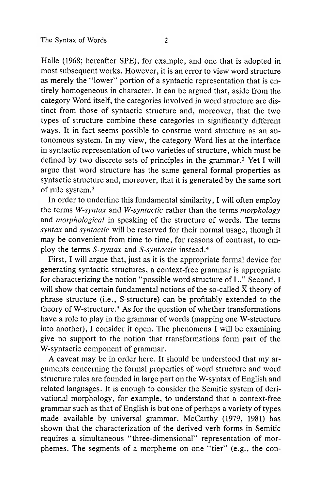Halle (1968; hereafter SPE), for example, and one that is adopted in most subsequent works. However, it is an error to view word structure as merely the "lower" portion of a syntactic representation that is entirely homogeneous in character. It can be argued that, aside from the category Word itself, the categories involved in word structure are distinct from those of syntactic structure and, moreover, that the two types of structure combine these categories in significantly different ways. It in fact seems possible to construe word structure as an autonomous system. In my view, the category Word lies at the interface in syntactic representation of two varieties of structure , which must be defined by two discrete sets of principles in the grammar.<sup>2</sup> Yet I will argue that word structure has the same general formal properties as syntactic structure and, moreover, that it is generated by the same sort of rule system.<sup>3</sup>

In order to underline this fundamental similarity , I will often employ the terms  $W$ -syntax and  $W$ -syntactic rather than the terms morphology and *morphological* in speaking of the structure of words. The terms syntax and syntactic will be reserved for their normal usage, though it may be convenient from time to time, for reasons of contrast, to employ the terms S-syntax and S-syntactic instead.<sup>4</sup>

First. I will argue that, just as it is the appropriate formal device for generating syntactic structures , a context -free grammar is appropriate for characterizing the notion "possible word structure of L." Second, I will show that certain fundamental notions of the so-called  $\overline{X}$  theory of phrase structure (i.e., S-structure) can be profitably extended to the theory of W-structure.<sup>5</sup> As for the question of whether transformations have a role to play in the grammar of words (mapping one W-structure into another), I consider it open. The phenomena I will be examining give no support to the notion that transformations form part of the W-syntactic component of grammar.

A caveat may be in order here. It should be understood that my arguments concerning the formal properties of word structure and word structure rules are founded in large part on the W-syntax of English and related languages. It is enough to consider the Semitic system of derivational morphology, for example, to understand that a context-free grammar such as that of English is but one of perhaps a variety of types made available by universal grammar. McCarthy (1979, 1981) has shown that the characterization of the derived verb forms in Semitic requires a simultaneous "three-dimensional" representation of morphemes. The segments of a morpheme on one "tier" (e.g., the con-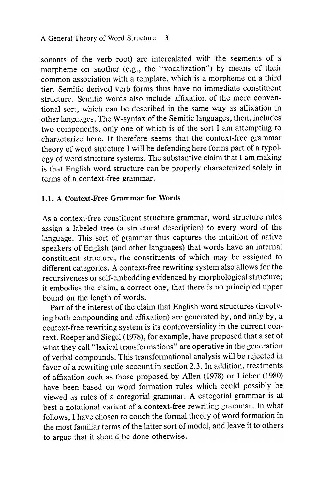### A General Theory of Word Structure 3

sonants of the verb root) are intercalated with the segments of a morpheme on another (e.g., the "vocalization") by means of their common association with a template, which is a morpheme on a third common association with a template , which is a morphism on a third is a morphism on a third is a morphism on a third is a third in  $\mathcal{L}$ tier. Semitie derived verb forms thus have no immediate constituents structure. Semitic words also include affixation of the more conventional sort, which can be described in the same way as affixation in other languages. The W-syntax of the Semitic languages, then, includes two components, only one of which is of the sort I am attempting to two components , only one of the sort I am attenuate  $\mathbf{r}$  and  $\mathbf{r}$ characterize here: It therefore seems that the context  $\omega$ theory of word structure I will be defending here forms part of a typology of word structure systems . The substantive claim that I am making is that English word structure can be properly characterized solely in terms of a context-free grammar.

## 1.1. A Context-Free Grammar for Words

As a context-free constituent structure grammar, word structure rules assign a labeled tree (a structural description) to every word of the assign a labeled tree (  $\sim$  structural description ) to every word of the theorem (  $\mathcal{L}$  . This sort of  $\mathcal{L}$ spectrum of  $\mathcal{L}$  . The condition of  $\mathcal{L}$  of  $\mathcal{L}$  internal internal internal internal internal internal internal internal internal internal internal internal internal internal internal internal internal interna constituent structure, the constituents of which may be assigned to  $\mathcal{L}$  categories . A context - free rewriting system also allows for the system algorithm also allows for the system algorithm algorithm algorithm algorithm algorithm algorithm algorithm algorithm algorithm algorithm a recursiveness or self embedding  $\epsilon$  - embedding  $\epsilon$ it embodies the claim, a correct one, that there is no principled upper bound on the length of words.

Part of the interest of the claim that English word structures (involving both compounding and affixation) are generated by, and only by, a context-free rewriting system is its controversiality in the current context. Roeper and Siegel (1978), for example, have proposed that a set of what they call "lexical transformations" are operative in the generation of verbal compounds. This transformational analysis will be rejected in of verbal compounds . This transformational analysis will be rejected in favor of a rewriting rule account  $\mathbb{R}^2$ of affixation such as those proposed by Allen (1978) or Lieber (1980) have been based on word formation rules which could possibly be viewed as rules of a categorial grammar . A categorial grammar is at best a notational variant of a context-free rewriting grammar. In what follows , I have chosen to couch the formal theory of word formation in the most familiar terms of the latter sort of model , and leave it to others to argue that it should be done otherwise .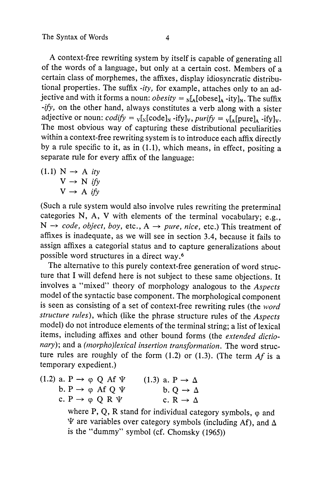A context -free rewriting system by itself is capable of generating all of the words of a language, but only at a certain cost. Members of a certain class of morphemes, the affixes, display idiosyncratic distributional properties. The suffix  $-ity$ , for example, attaches only to an adjective and with it forms a noun: *obesity* =  $_{N_{A}}$ [obese]<sub>A</sub> -ity]<sub>N</sub>. The suffix  $-ify$ , on the other hand, always constitutes a verb along with a sister adjective or noun:  $codify = v[x[code]_N - ify]_V$ ,  $purity = v[x[pure]_A - ify]_V$ . The most obvious way of capturing these distributional peculiarities within a context -free rewriting system is to introduce each affix directly by a rule specific to it, as in  $(1.1)$ , which means, in effect, positing a separate rule for every affix of the language:

 $(1.1)$  N  $\rightarrow$  A ity  $V \rightarrow N$  ify  $V \rightarrow A$  ify

(Such a rule system would also involve rules rewriting the preterminal categories N, A, V with elements of the terminal vocabulary; e.g.,  $N \rightarrow code$ , object, boy, etc.,  $A \rightarrow pure$ , nice, etc.) This treatment of affixes is inadequate, as we will see in section 3.4, because it fails to assign affixes a categorial status and to capture generalizations about possible word structures in a direct way .6

The alternative to this purely context-free generation of word structure that I will defend here is not subject to these same objections. It involves a "mixed" theory of morphology analogous to the Aspects model of the syntactic base component . The morphological component is seen as consisting of a set of context-free rewriting rules (the word structure rules), which (like the phrase structure rules of the Aspects model) do not introduce elements of the terminal string; a list of lexical items, including affixes and other bound forms (the extended dictionary); and a (morpho)lexical insertion transformation. The word structure rules are roughly of the form  $(1.2)$  or  $(1.3)$ . (The term Af is a temporary expedient.)

| $(1.2)$ a. P $\rightarrow \varphi$ Q Af $\Psi$ | $(1.3)$ a. P $\rightarrow \Delta$ |
|------------------------------------------------|-----------------------------------|
| b. $P \rightarrow \varphi$ Af Q $\Psi$         | b. Q $\rightarrow \Delta$         |
| c. $P \rightarrow \varphi Q R \Psi$            | c. R $\rightarrow \Delta$         |

where P, Q, R stand for individual category symbols,  $\varphi$  and  $\Psi$  are variables over category symbols (including Af), and  $\Delta$ is the "dummy" symbol (cf. Chomsky (1965))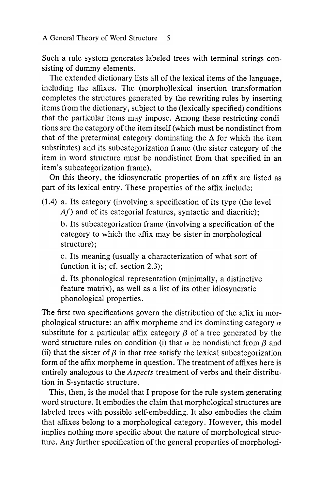Such a rule system generates labeled trees with terminal strings consisting of dummy elements.

The extended dictionary lists all of the lexical items of the language, including the affixes. The (morpho)lexical insertion transformation completes the structures generated by the rewriting rules by inserting items from the dictionary , subject to the (lexically specified) conditions that the particular items may impose. Among these restricting conditions are the category of the item itself (which must be nondistinct from that of the preterminal category dominating the  $\Delta$  for which the item substitutes) and its subcategorization frame (the sister category of the item in word structure must be nondistinct from that specified in an item's subcategorization frame).

On this theory , the idiosyncratic properties of an affix are listed as part of its lexical entry. These properties of the affix include:

(1.4) a. Its category (involving a specification of its type (the level  $Af$ ) and of its categorial features, syntactic and diacritic);

b. Its subcategorization frame (involving a specification of the category to which the affix may be sister in morphological structure);

c. Its meaning (usually a characterization of what sort of function it is; cf. section 2.3);

d. Its phonological representation (minimally , a distinctive feature matrix), as well as a list of its other idiosyncratic phonological properties.

The first two specifications govern the distribution of the affix in morphological structure: an affix morpheme and its dominating category  $\alpha$ substitute for a particular affix category  $\beta$  of a tree generated by the word structure rules on condition (i) that  $\alpha$  be nondistinct from  $\beta$  and (ii) that the sister of  $\beta$  in that tree satisfy the lexical subcategorization form of the affix morpheme in question. The treatment of affixes here is entirely analogous to the *Aspects* treatment of verbs and their distribution in S-syntactic structure.

This, then, is the model that I propose for the rule system generating word structure. It embodies the claim that morphological structures are labeled trees with possible self-embedding. It also embodies the claim that affixes belong to a morphological category. However, this model implies nothing more specific about the nature of morphological struc-. Any further specification of the general properties of morphologi-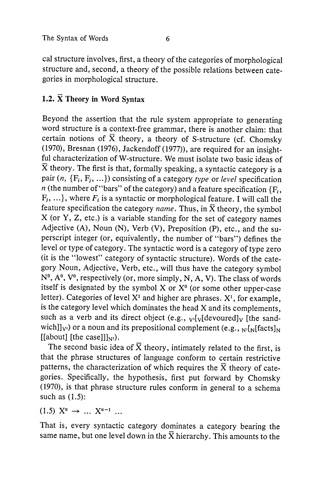cal structure involves, first, a theory of the categories of morphological structure and, second, a theory of the possible relations between categories in morphological structure.

# 1.2.  $\bar{X}$  Theory in Word Syntax

Beyond the assertion that the rule system appropriate to generating word structure is a context-free grammar, there is another claim: that certain notions of  $\overline{X}$  theory, a theory of S-structure (cf. Chomsky (1970), Bresnan (1976), Jackendoff (1977)), are required for an insightful characterization of W-structure. We must isolate two basic ideas of  $\overline{X}$  theory. The first is that, formally speaking, a syntactic category is a pair  $(n, \{F_i, F_j, ...\})$  consisting of a category type or level specification n (the number of "bars" of the category) and a feature specification  ${F_i}$ ,  $F_j, \ldots$ , where  $F_i$  is a syntactic or morphological feature. I will call the feature specification the category *name*. Thus, in  $\overline{X}$  theory, the symbol  $X$  (or Y, Z, etc.) is a variable standing for the set of category names Adjective (A), Noun (N), Verb (V), Preposition (P), etc., and the superscript integer (or, equivalently, the number of "bars") defines the level or type of category . The syntactic word is a category of type zero (it is the "lowest" category of syntactic structure). Words of the category Noun, Adjective, Verb, etc., will thus have the category symbol  $N^0$ ,  $A^0$ ,  $V^0$ , respectively (or, more simply, N, A, V). The class of words itself is designated by the symbol X or  $X^0$  (or some other upper-case letter). Categories of level  $X^1$  and higher are phrases.  $X^1$ , for example, is the category level which dominates the head X and its complements, such as a verb and its direct object (e.g.,  $_{V}$ [ $_{V}$ [devoured]<sub>V</sub> [the sandwich]]<sub>V'</sub>) or a noun and its prepositional complement (e.g.,  $N^{1}$ [n][facts]<sub>N</sub> [[about] [the case]] $\vert N_1 \rangle$ .

The second basic idea of  $\bar{X}$  theory, intimately related to the first, is that the phrase structures of language conform to certain restrictive patterns, the characterization of which requires the  $\bar{X}$  theory of categories. Specifically, the hypothesis, first put forward by Chomsky ( 1970), is that phrase structure rules conform in general to a schema such as  $(1.5)$ :

 $(1.5)$   $X^n \rightarrow \dots X^{n-1}$  ...

That is, every syntactic category dominates a category bearing the same name, but one level down in the  $\overline{X}$  hierarchy. This amounts to the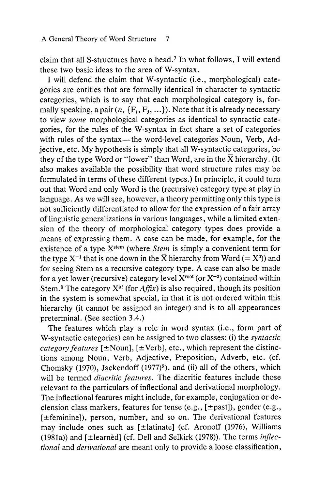claim that all S-structures have a head.<sup>7</sup> In what follows, I will extend these two basic ideas to the area of W-syntax.

I will defend the claim that W-syntactic (i.e., morphological) cateare entities that are formally identical in character to syntactic categories, which is to say that each morphological category is, formally speaking, a pair  $(n, {F_i, F_i, \ldots})$ . Note that it is already necessary to view some morphological categories as identical to syntactic cate-, for the rules of the W-syntax in fact share a set of categories with rules of the syntax—the word-level categories Noun, Verb, Adjective, etc. My hypothesis is simply that all W-syntactic categories, be they of the type Word or "lower" than Word, are in the  $\overline{X}$  hierarchy. (It also makes available the possibility that word structure rules may be formulated in terms of these different types .) In principle , it could turn out that Word and only Word is the (recursive) category type at play in language. As we will see, however, a theory permitting only this type is not sufficiently differentiated to allow for the expression of a fair array of linguistic generalizations in various languages, while a limited extension of the theory of morphological category types does provide a means of expressing them. A case can be made, for example, for the existence of a type  $X^{stem}$  (where  $Stem$  is simply a convenient term for the type  $X^{-1}$  that is one down in the  $\overline{X}$  hierarchy from Word (=  $X^0$ ) and for seeing Stem as a recursive category type . A case can also be made for a yet lower (recursive) category level  $X^{root}$  (or  $X^{-2}$ ) contained within Stem.<sup>8</sup> The category  $X<sup>af</sup>$  (for *Affix*) is also required, though its position in the system is somewhat special, in that it is not ordered within this hierarchy (it cannot be assigned an integer) and is to all appearances preterminal. (See section 3.4.)

The features which play a role in word syntax (i.e., form part of W-syntactic categories) can be assigned to two classes: (i) the *syntactic category features* [ $\pm$ Noun], [ $\pm$ Verb], etc., which represent the distinctions among Noun, Verb, Adjective, Preposition, Adverb, etc. (cf. Chomsky (1970), Jackendoff (1977)<sup>9</sup>), and (ii) all of the others, which will be termed *diacritic features*. The diacritic features include those relevant to the particulars of inflectional and derivational morphology . The inflectional features might include, for example, conjugation or declension class markers, features for tense (e.g.,  $[\pm$ past)), gender (e.g.,  $[ \pm$ feminine]), person, number, and so on. The derivational features may include ones such as  $[\pm]$ latinate] (cf. Aronoff (1976), Williams (1981a)) and  $[$   $\pm$  learned] (cf. Dell and Selkirk (1978)). The terms *inflec*tional and derivational are meant only to provide a loose classification,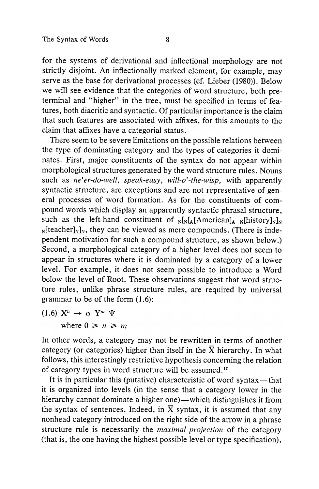for the systems of derivational and inflectional morphology are not strictly disjoint. An inflectionally marked element, for example, may serve as the base for derivational processes (cf. Lieber (1980)). Below we will see evidence that the categories of word structure, both preterminal and "higher" in the tree, must be specified in terms of fea-, both diacritic and syntactic. Of particular importance is the claim that such features are associated with affixes, for this amounts to the claim that affixes have a categorial status.

There seem to be severe limitations on the possible relations between the type of dominating category and the types of categories it domi-. First, major constituents of the syntax do not appear within morphological structures generated by the word structure rules. Nouns such as ne'er-do-well, speak-easy, will-o'-the-wisp, with apparently syntactic structure, are exceptions and are not representative of general processes of word formation. As for the constituents of compound words which display an apparently syntactic phrasal structure. such as the left-hand constituent of  $N[N_A(A)$   $\text{Merician}_{A}$   $\text{w}[h]$   $\text{http://www.lw}$  $N[teacher]_N$ ]<sub>N</sub>, they can be viewed as mere compounds. (There is independent motivation for such a compound structure, as shown below.) Second, a morphological category of a higher level does not seem to appear in structures where it is dominated by a category of a lower level. For example, it does not seem possible to introduce a Word below the level of Root. These observations suggest that word structure rules, unlike phrase structure rules, are required by universal grammar to be of the form (1.6):

(1.6)  $X^n \rightarrow \varphi Y^m \Psi$ where  $0 \ge n \ge m$ 

In other words, a category may not be rewritten in terms of another category (or categories) higher than itself in the  $\overline{X}$  hierarchy. In what follows , this interestingly restrictive hypothesis concerning the relation of category types in word structure will be assumed.<sup>10</sup>

It is in particular this (putative) characteristic of word syntax—that it is organized into levels (in the sense that a category lower in the hierarchy cannot dominate a higher one)—which distinguishes it from the syntax of sentences. Indeed, in  $\bar{X}$  syntax, it is assumed that any nonhead category introduced on the right side of the arrow in a phrase structure rule is necessarily the maximal projection of the category (that is, the one having the highest possible level or type specification),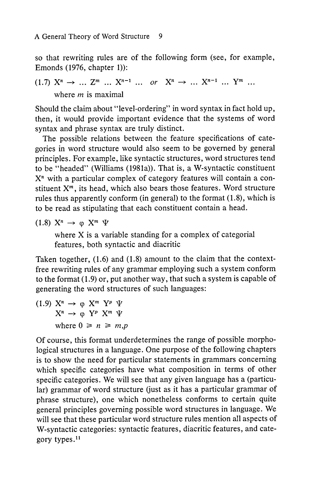so that rewriting rules are of the following form (see, for example, Emonds (1976, chapter 1)):

(1.7) 
$$
X^n \rightarrow \dots Z^m \dots X^{n-1} \dots
$$
 or  $X^n \rightarrow \dots X^{n-1} \dots Y^m \dots$   
where *m* is maximal

Should the claim about "level-ordering" in word syntax in fact hold up, then, it would provide important evidence that the systems of word syntax and phrase syntax are truly distinct.

The possible relations between the feature specifications of categories in word structure would also seem to be governed by general principles. For example, like syntactic structures, word structures tend to be "headed" (Williams (1981a)). That is, a W-syntactic constituent  $X<sup>n</sup>$  with a particular complex of category features will contain a constituent  $X<sup>m</sup>$ , its head, which also bears those features. Word structure rules thus apparently conform (in general) to the format  $(1.8)$ , which is to be read as stipulating that each constituent contain a head .

(1.8)  $X^n \rightarrow \varphi X^m \Psi$ 

where X is a variable standing for a complex of categorial features, both syntactic and diacritic

Taken together,  $(1.6)$  and  $(1.8)$  amount to the claim that the contextfree rewriting rules of any grammar employing such a system conform to the format (1.9) or, put another way, that such a system is capable of generating the word structures of such languages :

(1.9)  $X^n \rightarrow \varphi X^m Y^p \Psi$  $X^n \rightarrow \varphi Y^p X^m Y$ where  $0 \ge n \ge m, p$ 

Of course, this format underdetermines the range of possible morphological structures in a language . One purpose of the following chapters is to show the need for particular statements in grammars concerning which specific categories have what composition in terms of other specific categories. We will see that any given language has a (particular) grammar of word structure (just as it has a particular grammar of phrase structure), one which nonetheless conforms to certain quite general principles governing possible word structures in language . We will see that these particular word structure rules mention all aspects of W-syntactic categories: syntactic features, diacritic features, and category types.<sup>11</sup>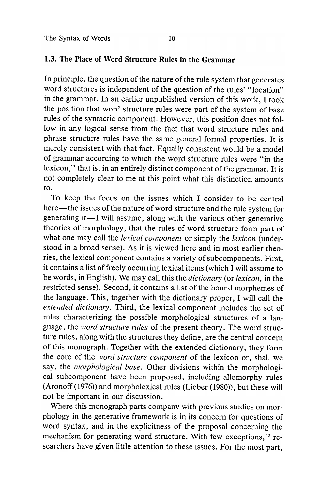### 1.3. The Place of Word Structure Rules in the Grammar

In principle, the question of the nature of the rule system that generates word structures is independent of the question of the rules' "location" in the grammar. In an earlier unpublished version of this work, I took the position that word structure rules were part of the system of base rules of the syntactic component. However, this position does not follow in any logical sense from the fact that word structure rules and phrase structure rules have the same general formal properties . It is merely consistent with that fact. Equally consistent would be a model of grammar according to which the word structure rules were " in the lexicon," that is, in an entirely distinct component of the grammar. It is not completely clear to me at this point what this distinction amounts to .

To keep the focus on the issues which I consider to be central here—the issues of the nature of word structure and the rule system for generating it—I will assume, along with the various other generative theories of morphology , that the rules of word structure form part of what one may call the lexical component or simply the lexicon (understood in a broad sense). As it is viewed here and in most earlier theories, the lexical component contains a variety of subcomponents. First, it contains a list of freely occurring lexical items ( which I will assume to be words, in English). We may call this the dictionary (or lexicon, in the restricted sense). Second, it contains a list of the bound morphemes of the language. This, together with the dictionary proper, I will call the extended dictionary. Third, the lexical component includes the set of rules characterizing the possible morphological structures of a language, the word structure rules of the present theory. The word structure rules, along with the structures they define, are the central concern of this monograph. Together with the extended dictionary, they form the core of the word structure component of the lexicon or, shall we say, the morphological base. Other divisions within the morphological subcomponent have been proposed, including allomorphy rules (Aronoff (1976)) and morpholexical rules (Lieber (1980)), but these will not be important in our discussion .

Where this monograph parts company with previous studies on morphology in the generative framework is in its concern for questions of word syntax, and in the explicitness of the proposal concerning the mechanism for generating word structure. With few exceptions,<sup>12</sup> researchers have given little attention to these issues. For the most part,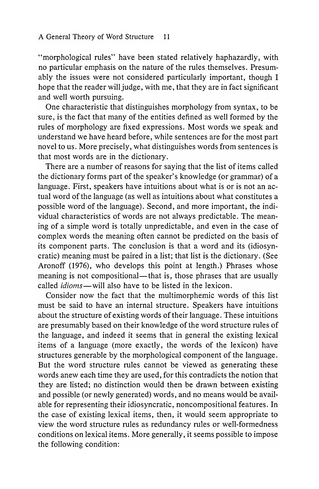" morphological rules" have been stated relatively haphazardly, with no particular emphasis on the nature of the rules themselves. Presumably the issues were not considered particularly important, though I hope that the reader will judge, with me, that they are in fact significant and well worth pursuing.

One characteristic that distinguishes morphology from syntax, to be sure, is the fact that many of the entities defined as well formed by the rules of morphology are fixed expressions. Most words we speak and understand we have heard before, while sentences are for the most part novel to us. More precisely, what distinguishes words from sentences is that most words are in the dictionary.

There are a number of reasons for saying that the list of items called the dictionary forms part of the speaker's knowledge (or grammar) of a language. First, speakers have intuitions about what is or is not an actual word of the language (as well as intuitions about what constitutes a possible word of the language). Second, and more important, the individual characteristics of words are not always predictable. The meaning of a simple word is totally unpredictable, and even in the case of complex words the meaning often cannot be predicted on the basis of its component parts. The conclusion is that a word and its (idiosyn-) meaning must be paired in a list; that list is the dictionary . (See Aronoff (1976), who develops this point at length.) Phrases whose meaning is not compositional—that is, those phrases that are usually called *idioms*—will also have to be listed in the lexicon.

Consider now the fact that the multimorphemic words of this list must be said to have an internal structure. Speakers have intuitions about the structure of existing words of their language. These intuitions are presumably based on their knowledge of the word structure rules of the language, and indeed it seems that in general the existing lexical items of a language (more exactly, the words of the lexicon) have structures generable by the morphological component of the language. But the word structure rules cannot be viewed as generating these words anew each time they are used, for this contradicts the notion that they are listed; no distinction would then be drawn between existing and possible (or newly generated) words, and no means would be available for representing their idiosyncratic, noncompositional features. In the case of existing lexical items, then, it would seem appropriate to view the word structure rules as redundancy rules or well-formedness conditions on lexical items. More generally, it seems possible to impose the following condition: